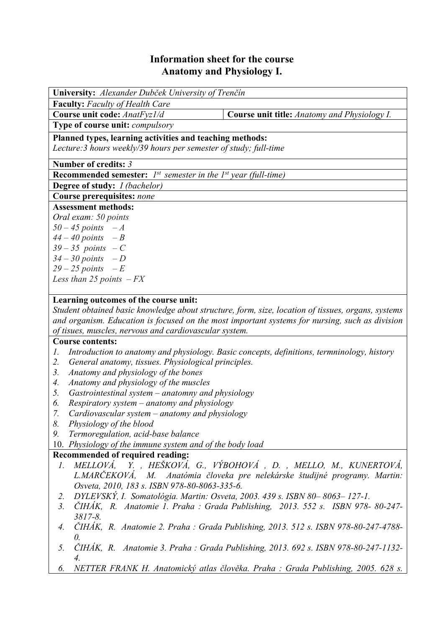## **Information sheet for the course Anatomy and Physiology I.**

| University: Alexander Dubček University of Trenčín                              |                                                                                                    |  |  |  |  |  |  |
|---------------------------------------------------------------------------------|----------------------------------------------------------------------------------------------------|--|--|--|--|--|--|
| <b>Faculty:</b> Faculty of Health Care                                          |                                                                                                    |  |  |  |  |  |  |
| Course unit code: AnatFyz1/d                                                    | <b>Course unit title:</b> Anatomy and Physiology I.                                                |  |  |  |  |  |  |
| Type of course unit: compulsory                                                 |                                                                                                    |  |  |  |  |  |  |
| Planned types, learning activities and teaching methods:                        |                                                                                                    |  |  |  |  |  |  |
| Lecture: 3 hours weekly/39 hours per semester of study; full-time               |                                                                                                    |  |  |  |  |  |  |
|                                                                                 |                                                                                                    |  |  |  |  |  |  |
| Number of credits: 3                                                            |                                                                                                    |  |  |  |  |  |  |
| <b>Recommended semester:</b> $I^{st}$ semester in the $I^{st}$ year (full-time) |                                                                                                    |  |  |  |  |  |  |
| <b>Degree of study:</b> <i>I (bachelor)</i>                                     |                                                                                                    |  |  |  |  |  |  |
| Course prerequisites: none                                                      |                                                                                                    |  |  |  |  |  |  |
| <b>Assessment methods:</b>                                                      |                                                                                                    |  |  |  |  |  |  |
| Oral exam: 50 points                                                            |                                                                                                    |  |  |  |  |  |  |
| $50 - 45$ points $-A$                                                           |                                                                                                    |  |  |  |  |  |  |
| $44 - 40$ points $-B$                                                           |                                                                                                    |  |  |  |  |  |  |
| $39-35$ points $-C$                                                             |                                                                                                    |  |  |  |  |  |  |
| $34 - 30$ points $-D$<br>$29 - 25$ points $-E$                                  |                                                                                                    |  |  |  |  |  |  |
| Less than 25 points $-FX$                                                       |                                                                                                    |  |  |  |  |  |  |
|                                                                                 |                                                                                                    |  |  |  |  |  |  |
| Learning outcomes of the course unit:                                           |                                                                                                    |  |  |  |  |  |  |
|                                                                                 | Student obtained basic knowledge about structure, form, size, location of tissues, organs, systems |  |  |  |  |  |  |
|                                                                                 | and organism. Education is focused on the most important systems for nursing, such as division     |  |  |  |  |  |  |
| of tisues, muscles, nervous and cardiovascular system.                          |                                                                                                    |  |  |  |  |  |  |
| <b>Course contents:</b>                                                         |                                                                                                    |  |  |  |  |  |  |
| 1.                                                                              | Introduction to anatomy and physiology. Basic concepts, definitions, termninology, history         |  |  |  |  |  |  |
| 2.<br>General anatomy, tissues. Physiological principles.                       |                                                                                                    |  |  |  |  |  |  |
| 3.<br>Anatomy and physiology of the bones                                       |                                                                                                    |  |  |  |  |  |  |
| Anatomy and physiology of the muscles<br>4.                                     |                                                                                                    |  |  |  |  |  |  |
| 5.<br>Gastrointestinal system $-$ anatomny and physiology                       |                                                                                                    |  |  |  |  |  |  |
| <i>Respiratory system – anatomy and physiology</i><br>6.                        |                                                                                                    |  |  |  |  |  |  |
| 7.<br>Cardiovascular system $-$ anatomy and physiology                          |                                                                                                    |  |  |  |  |  |  |
| 8.<br>Physiology of the blood                                                   |                                                                                                    |  |  |  |  |  |  |
| Termoregulation, acid-base balance<br>9.                                        |                                                                                                    |  |  |  |  |  |  |
| 10. Physiology of the immune system and of the body load                        |                                                                                                    |  |  |  |  |  |  |
| Recommended of required reading:                                                |                                                                                                    |  |  |  |  |  |  |
| 1.                                                                              | MELLOVÁ, Y. , HEŠKOVÁ, G., VÝBOHOVÁ , D. , MELLO, M., KUNERTOVÁ,                                   |  |  |  |  |  |  |
|                                                                                 | L.MARČEKOVÁ, M. Anatómia človeka pre nelekárske študijné programy. Martin:                         |  |  |  |  |  |  |
| Osveta, 2010, 183 s. ISBN 978-80-8063-335-6.                                    |                                                                                                    |  |  |  |  |  |  |
| 2.                                                                              | DYLEVSKÝ, I. Somatológia. Martin: Osveta, 2003. 439 s. ISBN 80-8063-127-1.                         |  |  |  |  |  |  |
| 3.                                                                              | ČIHÁK, R. Anatomie 1. Praha : Grada Publishing, 2013. 552 s. ISBN 978-80-247-                      |  |  |  |  |  |  |
| $3817 - 8.$                                                                     |                                                                                                    |  |  |  |  |  |  |

- *4. ČIHÁK, R. Anatomie 2. Praha : Grada Publishing, 2013. 512 s. ISBN 978-80-247-4788- 0.*
- *5. ČIHÁK, R. Anatomie 3. Praha : Grada Publishing, 2013. 692 s. ISBN 978-80-247-1132- 4.*
- *6. NETTER FRANK H. Anatomický atlas člověka. Praha : Grada Publishing, 2005. 628 s.*